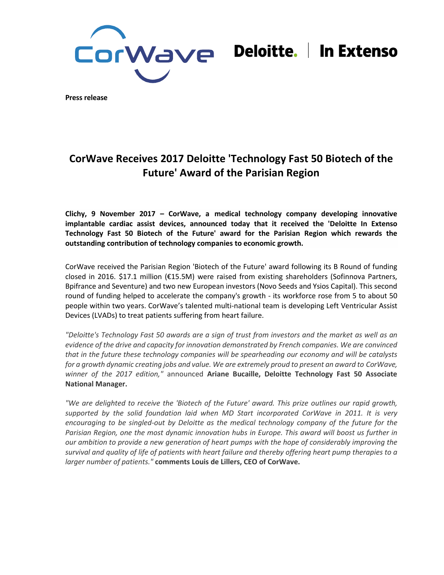

# Deloitte. | In Extenso

**Press release**

## **CorWave Receives 2017 Deloitte 'Technology Fast 50 Biotech of the Future' Award of the Parisian Region**

**Clichy, 9 November 2017 – [CorWave,](http://www.corwave.fr/) a medical technology company developing innovative implantable cardiac assist devices, announced today that it received the 'Deloitte In Extenso Technology Fast 50 Biotech of the Future' award for the Parisian Region which rewards the outstanding contribution of technology companies to economic growth.**

CorWave received the Parisian Region 'Biotech of the Future' award following its B Round of funding closed in 2016. \$17.1 million (€15.5M) were raised from existing shareholders (Sofinnova Partners, Bpifrance and Seventure) and two new European investors (Novo Seeds and Ysios Capital). This second round of funding helped to accelerate the company's growth - its workforce rose from 5 to about 50 people within two years. CorWave's talented multi-national team is developing Left Ventricular Assist Devices (LVADs) to treat patients suffering from heart failure.

*"Deloitte's Technology Fast 50 awards are a sign of trust from investors and the market as well as an evidence of the drive and capacity for innovation demonstrated by French companies. We are convinced that in the future these technology companies will be spearheading our economy and will be catalysts for a growth dynamic creating jobs and value. We are extremely proud to present an award to CorWave, winner of the 2017 edition,"* announced **Ariane Bucaille, Deloitte Technology Fast 50 Associate National Manager.**

*"We are delighted to receive the 'Biotech of the Future' award. This prize outlines our rapid growth, supported by the solid foundation laid when MD Start incorporated CorWave in 2011. It is very encouraging to be singled-out by Deloitte as the medical technology company of the future for the Parisian Region, one the most dynamic innovation hubs in Europe. This award will boost us further in our ambition to provide a new generation of heart pumps with the hope of considerably improving the survival and quality of life of patients with heart failure and thereby offering heart pump therapies to a larger number of patients."* **comments Louis de Lillers, CEO of CorWave.**